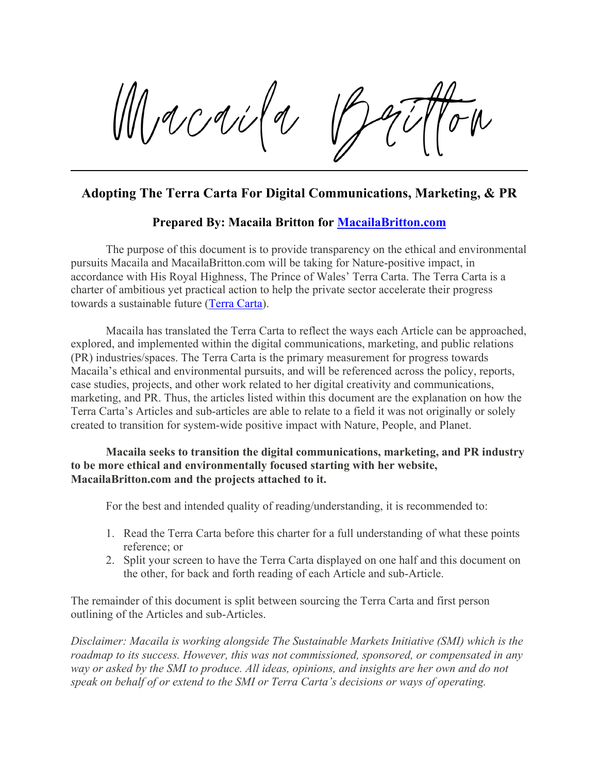Macaila

### **Adopting The Terra Carta For Digital Communications, Marketing, & PR**

#### **Prepared By: Macaila Britton for MacailaBritton.com**

The purpose of this document is to provide transparency on the ethical and environmental pursuits Macaila and MacailaBritton.com will be taking for Nature-positive impact, in accordance with His Royal Highness, The Prince of Wales' Terra Carta. The Terra Carta is a charter of ambitious yet practical action to help the private sector accelerate their progress towards a sustainable future (Terra Carta).

Macaila has translated the Terra Carta to reflect the ways each Article can be approached, explored, and implemented within the digital communications, marketing, and public relations (PR) industries/spaces. The Terra Carta is the primary measurement for progress towards Macaila's ethical and environmental pursuits, and will be referenced across the policy, reports, case studies, projects, and other work related to her digital creativity and communications, marketing, and PR. Thus, the articles listed within this document are the explanation on how the Terra Carta's Articles and sub-articles are able to relate to a field it was not originally or solely created to transition for system-wide positive impact with Nature, People, and Planet.

#### **Macaila seeks to transition the digital communications, marketing, and PR industry to be more ethical and environmentally focused starting with her website, MacailaBritton.com and the projects attached to it.**

For the best and intended quality of reading/understanding, it is recommended to:

- 1. Read the Terra Carta before this charter for a full understanding of what these points reference; or
- 2. Split your screen to have the Terra Carta displayed on one half and this document on the other, for back and forth reading of each Article and sub-Article.

The remainder of this document is split between sourcing the Terra Carta and first person outlining of the Articles and sub-Articles.

*Disclaimer: Macaila is working alongside The Sustainable Markets Initiative (SMI) which is the roadmap to its success. However, this was not commissioned, sponsored, or compensated in any way or asked by the SMI to produce. All ideas, opinions, and insights are her own and do not speak on behalf of or extend to the SMI or Terra Carta's decisions or ways of operating.*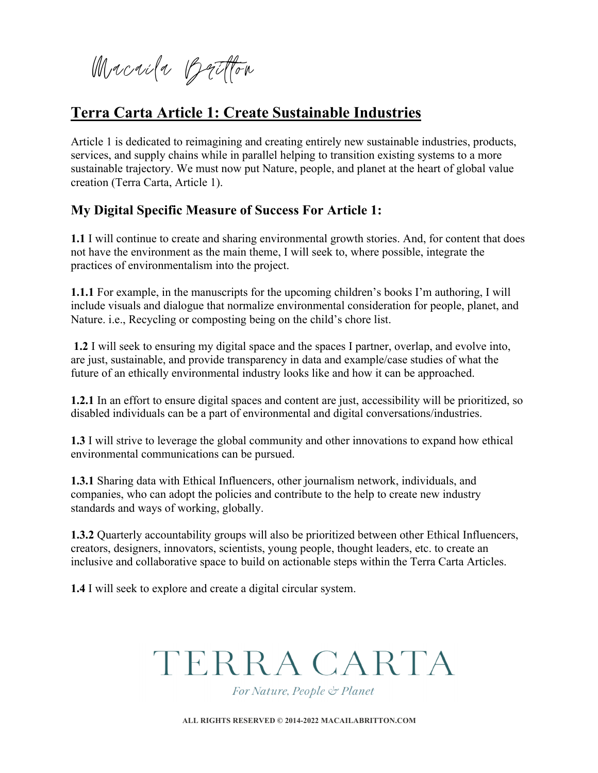Macaila Bettlen

## **Terra Carta Article 1: Create Sustainable Industries**

Article 1 is dedicated to reimagining and creating entirely new sustainable industries, products, services, and supply chains while in parallel helping to transition existing systems to a more sustainable trajectory. We must now put Nature, people, and planet at the heart of global value creation (Terra Carta, Article 1).

### **My Digital Specific Measure of Success For Article 1:**

**1.1** I will continue to create and sharing environmental growth stories. And, for content that does not have the environment as the main theme, I will seek to, where possible, integrate the practices of environmentalism into the project.

**1.1.1** For example, in the manuscripts for the upcoming children's books I'm authoring, I will include visuals and dialogue that normalize environmental consideration for people, planet, and Nature. i.e., Recycling or composting being on the child's chore list.

**1.2** I will seek to ensuring my digital space and the spaces I partner, overlap, and evolve into, are just, sustainable, and provide transparency in data and example/case studies of what the future of an ethically environmental industry looks like and how it can be approached.

**1.2.1** In an effort to ensure digital spaces and content are just, accessibility will be prioritized, so disabled individuals can be a part of environmental and digital conversations/industries.

**1.3** I will strive to leverage the global community and other innovations to expand how ethical environmental communications can be pursued.

**1.3.1** Sharing data with Ethical Influencers, other journalism network, individuals, and companies, who can adopt the policies and contribute to the help to create new industry standards and ways of working, globally.

**1.3.2** Quarterly accountability groups will also be prioritized between other Ethical Influencers, creators, designers, innovators, scientists, young people, thought leaders, etc. to create an inclusive and collaborative space to build on actionable steps within the Terra Carta Articles.

**1.4** I will seek to explore and create a digital circular system.

# TERRA CARTA

For Nature, People & Planet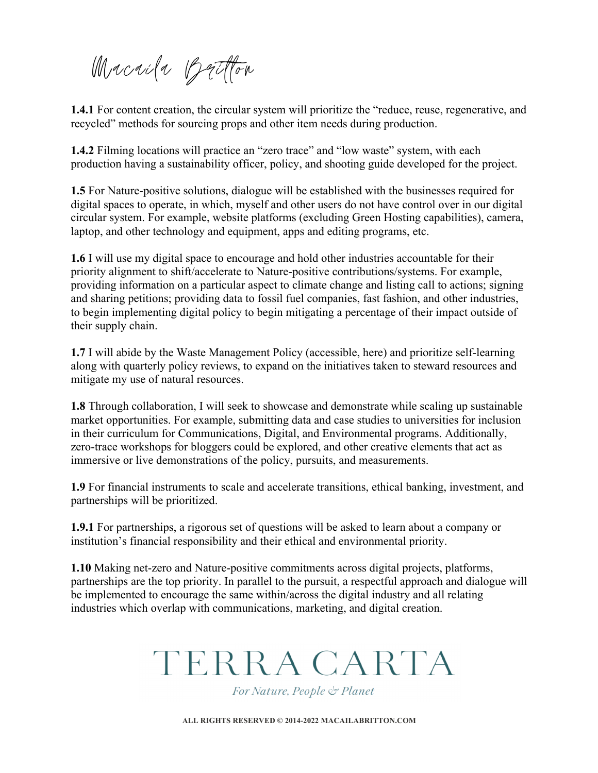Macaila Britton

**1.4.1** For content creation, the circular system will prioritize the "reduce, reuse, regenerative, and recycled" methods for sourcing props and other item needs during production.

**1.4.2** Filming locations will practice an "zero trace" and "low waste" system, with each production having a sustainability officer, policy, and shooting guide developed for the project.

**1.5** For Nature-positive solutions, dialogue will be established with the businesses required for digital spaces to operate, in which, myself and other users do not have control over in our digital circular system. For example, website platforms (excluding Green Hosting capabilities), camera, laptop, and other technology and equipment, apps and editing programs, etc.

**1.6** I will use my digital space to encourage and hold other industries accountable for their priority alignment to shift/accelerate to Nature-positive contributions/systems. For example, providing information on a particular aspect to climate change and listing call to actions; signing and sharing petitions; providing data to fossil fuel companies, fast fashion, and other industries, to begin implementing digital policy to begin mitigating a percentage of their impact outside of their supply chain.

**1.7** I will abide by the Waste Management Policy (accessible, here) and prioritize self-learning along with quarterly policy reviews, to expand on the initiatives taken to steward resources and mitigate my use of natural resources.

**1.8** Through collaboration, I will seek to showcase and demonstrate while scaling up sustainable market opportunities. For example, submitting data and case studies to universities for inclusion in their curriculum for Communications, Digital, and Environmental programs. Additionally, zero-trace workshops for bloggers could be explored, and other creative elements that act as immersive or live demonstrations of the policy, pursuits, and measurements.

**1.9** For financial instruments to scale and accelerate transitions, ethical banking, investment, and partnerships will be prioritized.

**1.9.1** For partnerships, a rigorous set of questions will be asked to learn about a company or institution's financial responsibility and their ethical and environmental priority.

**1.10** Making net-zero and Nature-positive commitments across digital projects, platforms, partnerships are the top priority. In parallel to the pursuit, a respectful approach and dialogue will be implemented to encourage the same within/across the digital industry and all relating industries which overlap with communications, marketing, and digital creation.

TERRA CARTA

For Nature, People & Planet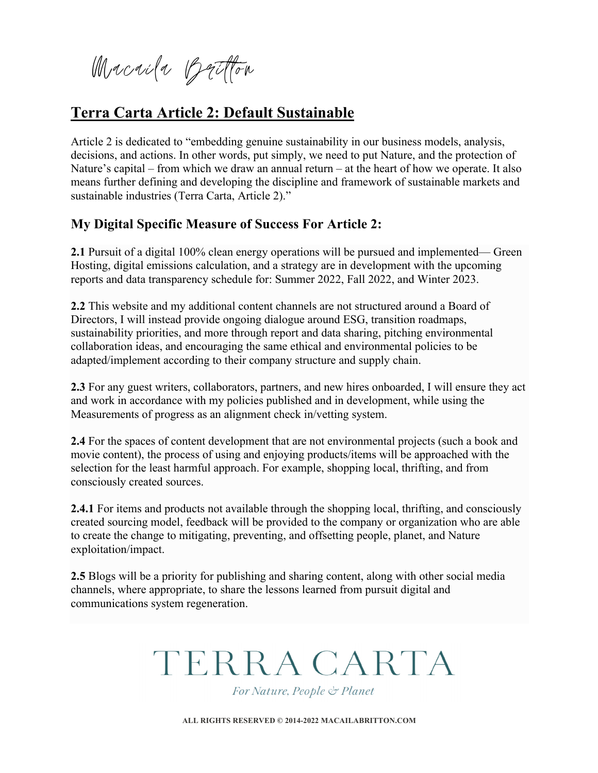Macaila Bettlen

## **Terra Carta Article 2: Default Sustainable**

Article 2 is dedicated to "embedding genuine sustainability in our business models, analysis, decisions, and actions. In other words, put simply, we need to put Nature, and the protection of Nature's capital – from which we draw an annual return – at the heart of how we operate. It also means further defining and developing the discipline and framework of sustainable markets and sustainable industries (Terra Carta, Article 2)."

### **My Digital Specific Measure of Success For Article 2:**

**2.1** Pursuit of a digital 100% clean energy operations will be pursued and implemented— Green Hosting, digital emissions calculation, and a strategy are in development with the upcoming reports and data transparency schedule for: Summer 2022, Fall 2022, and Winter 2023.

**2.2** This website and my additional content channels are not structured around a Board of Directors, I will instead provide ongoing dialogue around ESG, transition roadmaps, sustainability priorities, and more through report and data sharing, pitching environmental collaboration ideas, and encouraging the same ethical and environmental policies to be adapted/implement according to their company structure and supply chain.

**2.3** For any guest writers, collaborators, partners, and new hires onboarded, I will ensure they act and work in accordance with my policies published and in development, while using the Measurements of progress as an alignment check in/vetting system.

**2.4** For the spaces of content development that are not environmental projects (such a book and movie content), the process of using and enjoying products/items will be approached with the selection for the least harmful approach. For example, shopping local, thrifting, and from consciously created sources.

**2.4.1** For items and products not available through the shopping local, thrifting, and consciously created sourcing model, feedback will be provided to the company or organization who are able to create the change to mitigating, preventing, and offsetting people, planet, and Nature exploitation/impact.

**2.5** Blogs will be a priority for publishing and sharing content, along with other social media channels, where appropriate, to share the lessons learned from pursuit digital and communications system regeneration.



For Nature, People & Planet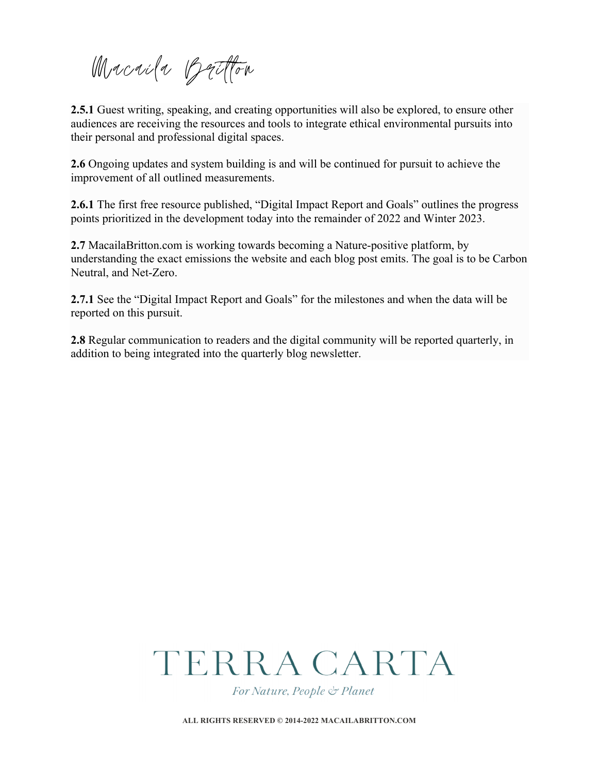Macaila Bettlen

**2.5.1** Guest writing, speaking, and creating opportunities will also be explored, to ensure other audiences are receiving the resources and tools to integrate ethical environmental pursuits into their personal and professional digital spaces.

**2.6** Ongoing updates and system building is and will be continued for pursuit to achieve the improvement of all outlined measurements.

**2.6.1** The first free resource published, "Digital Impact Report and Goals" outlines the progress points prioritized in the development today into the remainder of 2022 and Winter 2023.

**2.7** MacailaBritton.com is working towards becoming a Nature-positive platform, by understanding the exact emissions the website and each blog post emits. The goal is to be Carbon Neutral, and Net-Zero.

**2.7.1** See the "Digital Impact Report and Goals" for the milestones and when the data will be reported on this pursuit.

**2.8** Regular communication to readers and the digital community will be reported quarterly, in addition to being integrated into the quarterly blog newsletter.

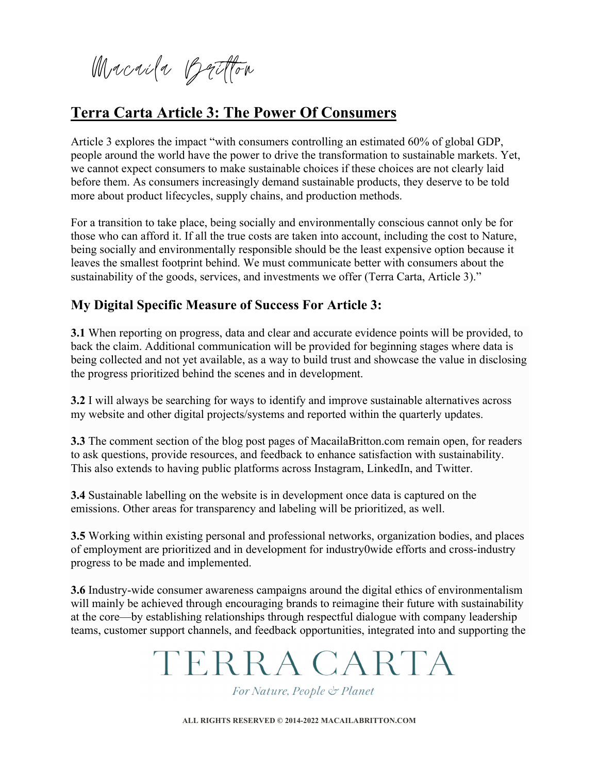Macaila Beitton

## **Terra Carta Article 3: The Power Of Consumers**

Article 3 explores the impact "with consumers controlling an estimated 60% of global GDP, people around the world have the power to drive the transformation to sustainable markets. Yet, we cannot expect consumers to make sustainable choices if these choices are not clearly laid before them. As consumers increasingly demand sustainable products, they deserve to be told more about product lifecycles, supply chains, and production methods.

For a transition to take place, being socially and environmentally conscious cannot only be for those who can afford it. If all the true costs are taken into account, including the cost to Nature, being socially and environmentally responsible should be the least expensive option because it leaves the smallest footprint behind. We must communicate better with consumers about the sustainability of the goods, services, and investments we offer (Terra Carta, Article 3)."

### **My Digital Specific Measure of Success For Article 3:**

**3.1** When reporting on progress, data and clear and accurate evidence points will be provided, to back the claim. Additional communication will be provided for beginning stages where data is being collected and not yet available, as a way to build trust and showcase the value in disclosing the progress prioritized behind the scenes and in development.

**3.2** I will always be searching for ways to identify and improve sustainable alternatives across my website and other digital projects/systems and reported within the quarterly updates.

**3.3** The comment section of the blog post pages of MacailaBritton.com remain open, for readers to ask questions, provide resources, and feedback to enhance satisfaction with sustainability. This also extends to having public platforms across Instagram, LinkedIn, and Twitter.

**3.4** Sustainable labelling on the website is in development once data is captured on the emissions. Other areas for transparency and labeling will be prioritized, as well.

**3.5** Working within existing personal and professional networks, organization bodies, and places of employment are prioritized and in development for industry0wide efforts and cross-industry progress to be made and implemented.

**3.6** Industry-wide consumer awareness campaigns around the digital ethics of environmentalism will mainly be achieved through encouraging brands to reimagine their future with sustainability at the core—by establishing relationships through respectful dialogue with company leadership teams, customer support channels, and feedback opportunities, integrated into and supporting the

## TERRA CARTA

For Nature, People & Planet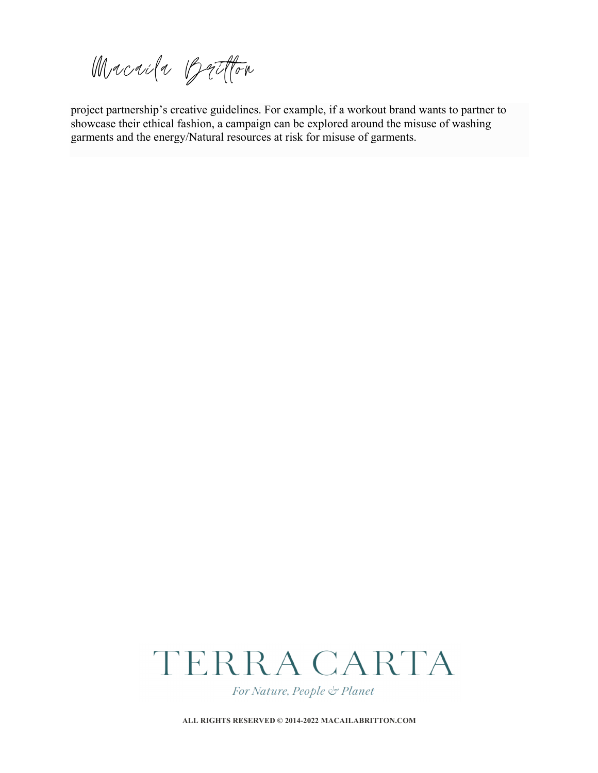Macaila Bettlen

project partnership's creative guidelines. For example, if a workout brand wants to partner to showcase their ethical fashion, a campaign can be explored around the misuse of washing garments and the energy/Natural resources at risk for misuse of garments.

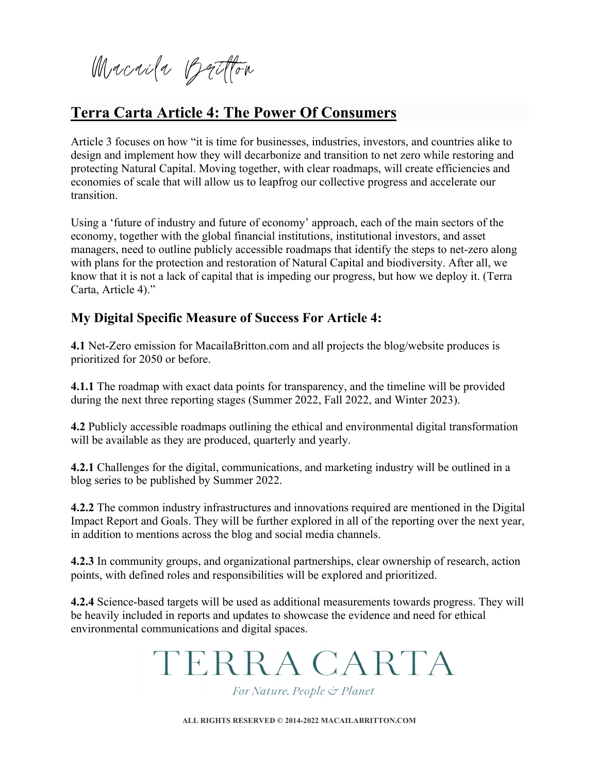Macaila Beitton

## **Terra Carta Article 4: The Power Of Consumers**

Article 3 focuses on how "it is time for businesses, industries, investors, and countries alike to design and implement how they will decarbonize and transition to net zero while restoring and protecting Natural Capital. Moving together, with clear roadmaps, will create efficiencies and economies of scale that will allow us to leapfrog our collective progress and accelerate our transition.

Using a 'future of industry and future of economy' approach, each of the main sectors of the economy, together with the global financial institutions, institutional investors, and asset managers, need to outline publicly accessible roadmaps that identify the steps to net-zero along with plans for the protection and restoration of Natural Capital and biodiversity. After all, we know that it is not a lack of capital that is impeding our progress, but how we deploy it. (Terra Carta, Article 4)."

### **My Digital Specific Measure of Success For Article 4:**

**4.1** Net-Zero emission for MacailaBritton.com and all projects the blog/website produces is prioritized for 2050 or before.

**4.1.1** The roadmap with exact data points for transparency, and the timeline will be provided during the next three reporting stages (Summer 2022, Fall 2022, and Winter 2023).

**4.2** Publicly accessible roadmaps outlining the ethical and environmental digital transformation will be available as they are produced, quarterly and yearly.

**4.2.1** Challenges for the digital, communications, and marketing industry will be outlined in a blog series to be published by Summer 2022.

**4.2.2** The common industry infrastructures and innovations required are mentioned in the Digital Impact Report and Goals. They will be further explored in all of the reporting over the next year, in addition to mentions across the blog and social media channels.

**4.2.3** In community groups, and organizational partnerships, clear ownership of research, action points, with defined roles and responsibilities will be explored and prioritized.

**4.2.4** Science-based targets will be used as additional measurements towards progress. They will be heavily included in reports and updates to showcase the evidence and need for ethical environmental communications and digital spaces.

TERRA CARTA

For Nature, People & Planet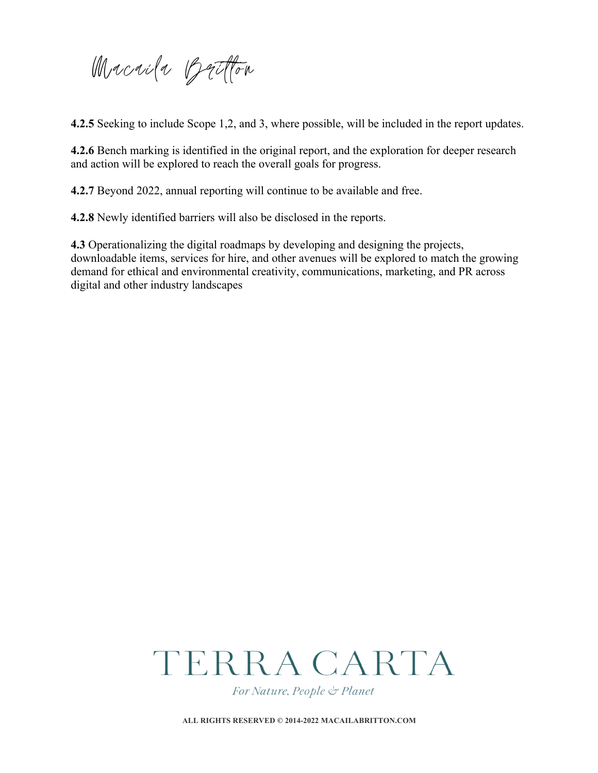Macaila Bettlen

**4.2.5** Seeking to include Scope 1,2, and 3, where possible, will be included in the report updates.

**4.2.6** Bench marking is identified in the original report, and the exploration for deeper research and action will be explored to reach the overall goals for progress.

**4.2.7** Beyond 2022, annual reporting will continue to be available and free.

**4.2.8** Newly identified barriers will also be disclosed in the reports.

**4.3** Operationalizing the digital roadmaps by developing and designing the projects, downloadable items, services for hire, and other avenues will be explored to match the growing demand for ethical and environmental creativity, communications, marketing, and PR across digital and other industry landscapes

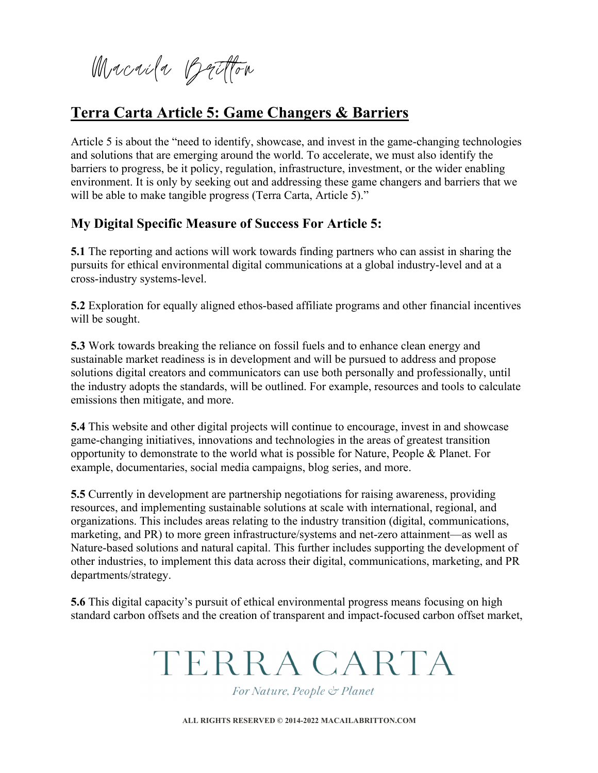Macaila Beitton

## **Terra Carta Article 5: Game Changers & Barriers**

Article 5 is about the "need to identify, showcase, and invest in the game-changing technologies and solutions that are emerging around the world. To accelerate, we must also identify the barriers to progress, be it policy, regulation, infrastructure, investment, or the wider enabling environment. It is only by seeking out and addressing these game changers and barriers that we will be able to make tangible progress (Terra Carta, Article 5)."

### **My Digital Specific Measure of Success For Article 5:**

**5.1** The reporting and actions will work towards finding partners who can assist in sharing the pursuits for ethical environmental digital communications at a global industry-level and at a cross-industry systems-level.

**5.2** Exploration for equally aligned ethos-based affiliate programs and other financial incentives will be sought.

**5.3** Work towards breaking the reliance on fossil fuels and to enhance clean energy and sustainable market readiness is in development and will be pursued to address and propose solutions digital creators and communicators can use both personally and professionally, until the industry adopts the standards, will be outlined. For example, resources and tools to calculate emissions then mitigate, and more.

**5.4** This website and other digital projects will continue to encourage, invest in and showcase game-changing initiatives, innovations and technologies in the areas of greatest transition opportunity to demonstrate to the world what is possible for Nature, People & Planet. For example, documentaries, social media campaigns, blog series, and more.

**5.5** Currently in development are partnership negotiations for raising awareness, providing resources, and implementing sustainable solutions at scale with international, regional, and organizations. This includes areas relating to the industry transition (digital, communications, marketing, and PR) to more green infrastructure/systems and net-zero attainment—as well as Nature-based solutions and natural capital. This further includes supporting the development of other industries, to implement this data across their digital, communications, marketing, and PR departments/strategy.

**5.6** This digital capacity's pursuit of ethical environmental progress means focusing on high standard carbon offsets and the creation of transparent and impact-focused carbon offset market,

# TERRA CARTA

For Nature, People & Planet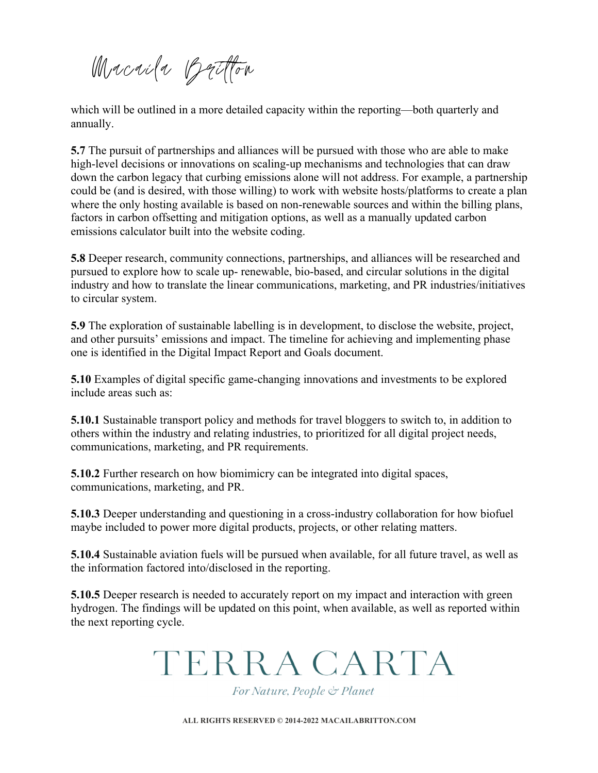Macaila Betton

which will be outlined in a more detailed capacity within the reporting—both quarterly and annually.

**5.7** The pursuit of partnerships and alliances will be pursued with those who are able to make high-level decisions or innovations on scaling-up mechanisms and technologies that can draw down the carbon legacy that curbing emissions alone will not address. For example, a partnership could be (and is desired, with those willing) to work with website hosts/platforms to create a plan where the only hosting available is based on non-renewable sources and within the billing plans, factors in carbon offsetting and mitigation options, as well as a manually updated carbon emissions calculator built into the website coding.

**5.8** Deeper research, community connections, partnerships, and alliances will be researched and pursued to explore how to scale up- renewable, bio-based, and circular solutions in the digital industry and how to translate the linear communications, marketing, and PR industries/initiatives to circular system.

**5.9** The exploration of sustainable labelling is in development, to disclose the website, project, and other pursuits' emissions and impact. The timeline for achieving and implementing phase one is identified in the Digital Impact Report and Goals document.

**5.10** Examples of digital specific game-changing innovations and investments to be explored include areas such as:

**5.10.1** Sustainable transport policy and methods for travel bloggers to switch to, in addition to others within the industry and relating industries, to prioritized for all digital project needs, communications, marketing, and PR requirements.

**5.10.2** Further research on how biomimicry can be integrated into digital spaces, communications, marketing, and PR.

**5.10.3** Deeper understanding and questioning in a cross-industry collaboration for how biofuel maybe included to power more digital products, projects, or other relating matters.

**5.10.4** Sustainable aviation fuels will be pursued when available, for all future travel, as well as the information factored into/disclosed in the reporting.

**5.10.5** Deeper research is needed to accurately report on my impact and interaction with green hydrogen. The findings will be updated on this point, when available, as well as reported within the next reporting cycle.

TERRA CARTA

For Nature, People & Planet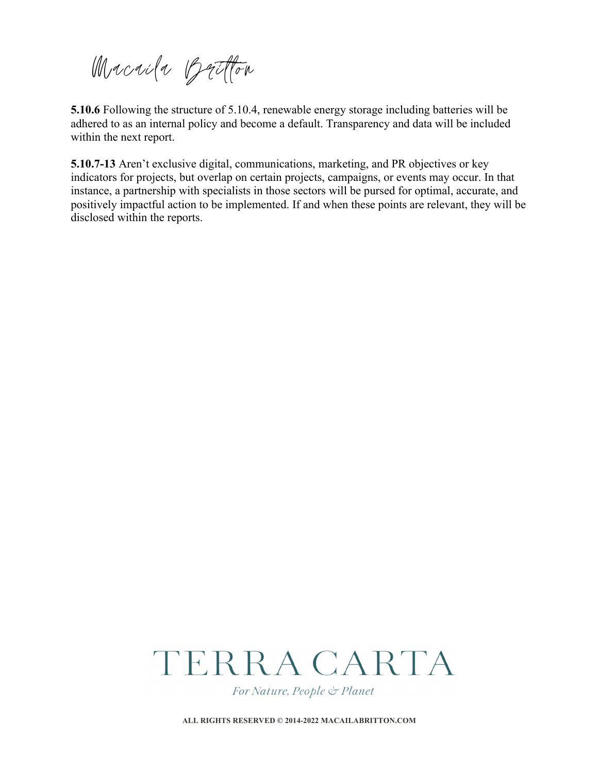Macaila Bettlen

**5.10.6** Following the structure of 5.10.4, renewable energy storage including batteries will be adhered to as an internal policy and become a default. Transparency and data will be included within the next report.

**5.10.7-13** Aren't exclusive digital, communications, marketing, and PR objectives or key indicators for projects, but overlap on certain projects, campaigns, or events may occur. In that instance, a partnership with specialists in those sectors will be pursed for optimal, accurate, and positively impactful action to be implemented. If and when these points are relevant, they will be disclosed within the reports.

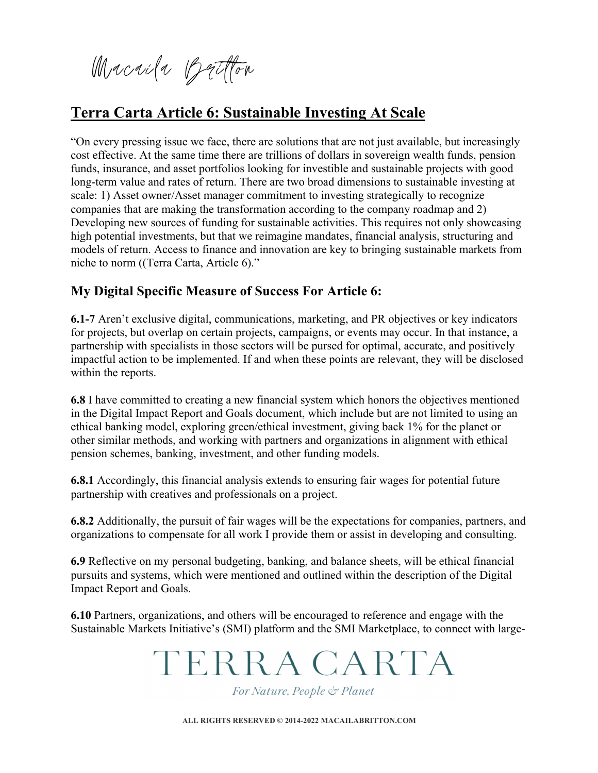Macaila Beitton

## **Terra Carta Article 6: Sustainable Investing At Scale**

"On every pressing issue we face, there are solutions that are not just available, but increasingly cost effective. At the same time there are trillions of dollars in sovereign wealth funds, pension funds, insurance, and asset portfolios looking for investible and sustainable projects with good long-term value and rates of return. There are two broad dimensions to sustainable investing at scale: 1) Asset owner/Asset manager commitment to investing strategically to recognize companies that are making the transformation according to the company roadmap and 2) Developing new sources of funding for sustainable activities. This requires not only showcasing high potential investments, but that we reimagine mandates, financial analysis, structuring and models of return. Access to finance and innovation are key to bringing sustainable markets from niche to norm ((Terra Carta, Article 6)."

### **My Digital Specific Measure of Success For Article 6:**

**6.1-7** Aren't exclusive digital, communications, marketing, and PR objectives or key indicators for projects, but overlap on certain projects, campaigns, or events may occur. In that instance, a partnership with specialists in those sectors will be pursed for optimal, accurate, and positively impactful action to be implemented. If and when these points are relevant, they will be disclosed within the reports.

**6.8** I have committed to creating a new financial system which honors the objectives mentioned in the Digital Impact Report and Goals document, which include but are not limited to using an ethical banking model, exploring green/ethical investment, giving back 1% for the planet or other similar methods, and working with partners and organizations in alignment with ethical pension schemes, banking, investment, and other funding models.

**6.8.1** Accordingly, this financial analysis extends to ensuring fair wages for potential future partnership with creatives and professionals on a project.

**6.8.2** Additionally, the pursuit of fair wages will be the expectations for companies, partners, and organizations to compensate for all work I provide them or assist in developing and consulting.

**6.9** Reflective on my personal budgeting, banking, and balance sheets, will be ethical financial pursuits and systems, which were mentioned and outlined within the description of the Digital Impact Report and Goals.

**6.10** Partners, organizations, and others will be encouraged to reference and engage with the Sustainable Markets Initiative's (SMI) platform and the SMI Marketplace, to connect with large-

TERRA CARTA

For Nature, People & Planet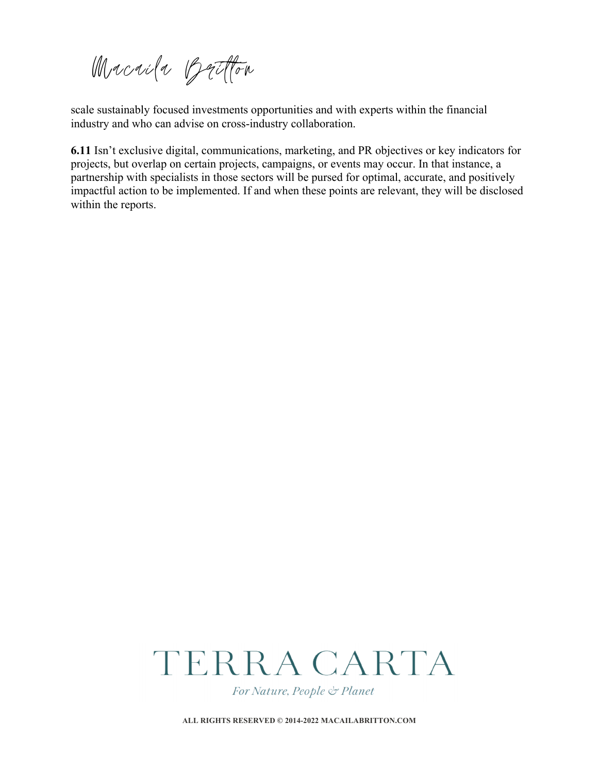Macaila Beillon

scale sustainably focused investments opportunities and with experts within the financial industry and who can advise on cross-industry collaboration.

**6.11** Isn't exclusive digital, communications, marketing, and PR objectives or key indicators for projects, but overlap on certain projects, campaigns, or events may occur. In that instance, a partnership with specialists in those sectors will be pursed for optimal, accurate, and positively impactful action to be implemented. If and when these points are relevant, they will be disclosed within the reports.

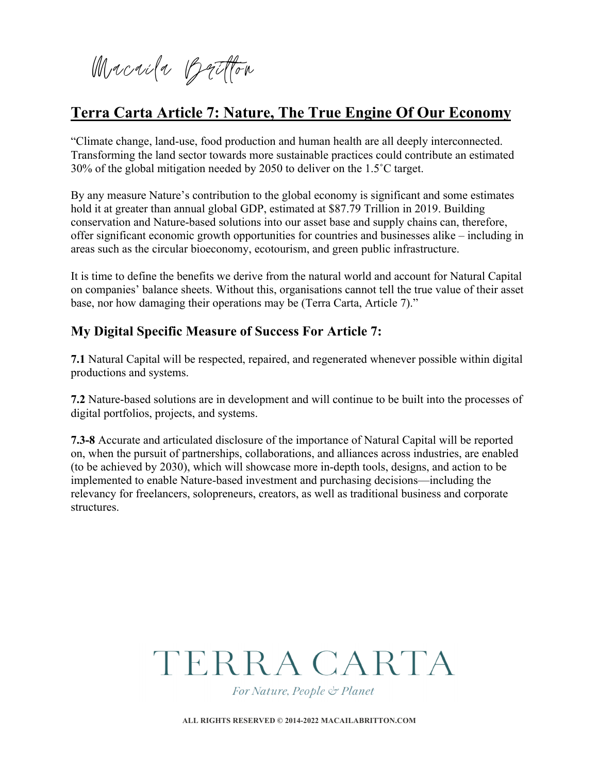Macaila Beitton

## **Terra Carta Article 7: Nature, The True Engine Of Our Economy**

"Climate change, land-use, food production and human health are all deeply interconnected. Transforming the land sector towards more sustainable practices could contribute an estimated 30% of the global mitigation needed by 2050 to deliver on the 1.5˚C target.

By any measure Nature's contribution to the global economy is significant and some estimates hold it at greater than annual global GDP, estimated at \$87.79 Trillion in 2019. Building conservation and Nature-based solutions into our asset base and supply chains can, therefore, offer significant economic growth opportunities for countries and businesses alike – including in areas such as the circular bioeconomy, ecotourism, and green public infrastructure.

It is time to define the benefits we derive from the natural world and account for Natural Capital on companies' balance sheets. Without this, organisations cannot tell the true value of their asset base, nor how damaging their operations may be (Terra Carta, Article 7)."

### **My Digital Specific Measure of Success For Article 7:**

**7.1** Natural Capital will be respected, repaired, and regenerated whenever possible within digital productions and systems.

**7.2** Nature-based solutions are in development and will continue to be built into the processes of digital portfolios, projects, and systems.

**7.3-8** Accurate and articulated disclosure of the importance of Natural Capital will be reported on, when the pursuit of partnerships, collaborations, and alliances across industries, are enabled (to be achieved by 2030), which will showcase more in-depth tools, designs, and action to be implemented to enable Nature-based investment and purchasing decisions—including the relevancy for freelancers, solopreneurs, creators, as well as traditional business and corporate structures.



For Nature, People & Planet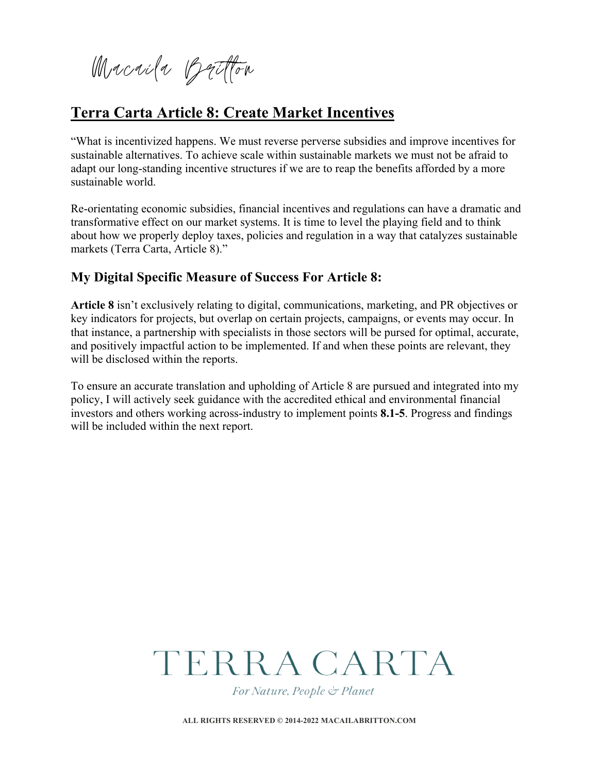Macaila Beitton

## **Terra Carta Article 8: Create Market Incentives**

"What is incentivized happens. We must reverse perverse subsidies and improve incentives for sustainable alternatives. To achieve scale within sustainable markets we must not be afraid to adapt our long-standing incentive structures if we are to reap the benefits afforded by a more sustainable world.

Re-orientating economic subsidies, financial incentives and regulations can have a dramatic and transformative effect on our market systems. It is time to level the playing field and to think about how we properly deploy taxes, policies and regulation in a way that catalyzes sustainable markets (Terra Carta, Article 8)."

#### **My Digital Specific Measure of Success For Article 8:**

**Article 8** isn't exclusively relating to digital, communications, marketing, and PR objectives or key indicators for projects, but overlap on certain projects, campaigns, or events may occur. In that instance, a partnership with specialists in those sectors will be pursed for optimal, accurate, and positively impactful action to be implemented. If and when these points are relevant, they will be disclosed within the reports.

To ensure an accurate translation and upholding of Article 8 are pursued and integrated into my policy, I will actively seek guidance with the accredited ethical and environmental financial investors and others working across-industry to implement points **8.1-5**. Progress and findings will be included within the next report.

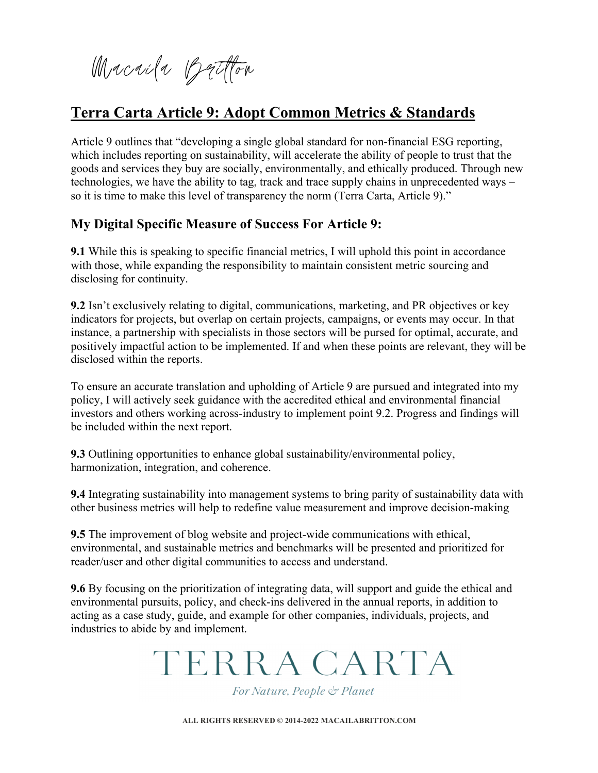Macaila Beitton

## **Terra Carta Article 9: Adopt Common Metrics & Standards**

Article 9 outlines that "developing a single global standard for non-financial ESG reporting, which includes reporting on sustainability, will accelerate the ability of people to trust that the goods and services they buy are socially, environmentally, and ethically produced. Through new technologies, we have the ability to tag, track and trace supply chains in unprecedented ways – so it is time to make this level of transparency the norm (Terra Carta, Article 9)."

### **My Digital Specific Measure of Success For Article 9:**

**9.1** While this is speaking to specific financial metrics, I will uphold this point in accordance with those, while expanding the responsibility to maintain consistent metric sourcing and disclosing for continuity.

**9.2** Isn't exclusively relating to digital, communications, marketing, and PR objectives or key indicators for projects, but overlap on certain projects, campaigns, or events may occur. In that instance, a partnership with specialists in those sectors will be pursed for optimal, accurate, and positively impactful action to be implemented. If and when these points are relevant, they will be disclosed within the reports.

To ensure an accurate translation and upholding of Article 9 are pursued and integrated into my policy, I will actively seek guidance with the accredited ethical and environmental financial investors and others working across-industry to implement point 9.2. Progress and findings will be included within the next report.

**9.3** Outlining opportunities to enhance global sustainability/environmental policy, harmonization, integration, and coherence.

**9.4** Integrating sustainability into management systems to bring parity of sustainability data with other business metrics will help to redefine value measurement and improve decision-making

**9.5** The improvement of blog website and project-wide communications with ethical, environmental, and sustainable metrics and benchmarks will be presented and prioritized for reader/user and other digital communities to access and understand.

**9.6** By focusing on the prioritization of integrating data, will support and guide the ethical and environmental pursuits, policy, and check-ins delivered in the annual reports, in addition to acting as a case study, guide, and example for other companies, individuals, projects, and industries to abide by and implement.

TERRA CARTA

For Nature, People & Planet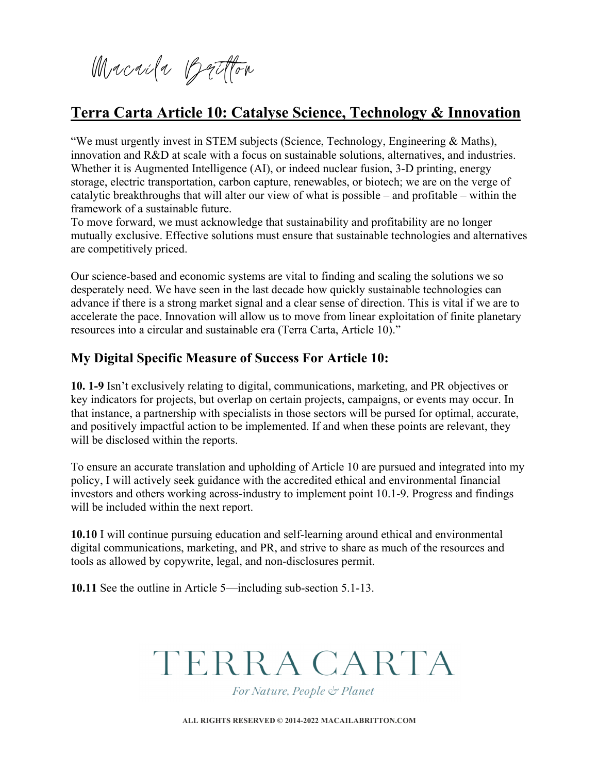Macaila Bettlen

## **Terra Carta Article 10: Catalyse Science, Technology & Innovation**

"We must urgently invest in STEM subjects (Science, Technology, Engineering & Maths), innovation and R&D at scale with a focus on sustainable solutions, alternatives, and industries. Whether it is Augmented Intelligence (AI), or indeed nuclear fusion, 3-D printing, energy storage, electric transportation, carbon capture, renewables, or biotech; we are on the verge of catalytic breakthroughs that will alter our view of what is possible – and profitable – within the framework of a sustainable future.

To move forward, we must acknowledge that sustainability and profitability are no longer mutually exclusive. Effective solutions must ensure that sustainable technologies and alternatives are competitively priced.

Our science-based and economic systems are vital to finding and scaling the solutions we so desperately need. We have seen in the last decade how quickly sustainable technologies can advance if there is a strong market signal and a clear sense of direction. This is vital if we are to accelerate the pace. Innovation will allow us to move from linear exploitation of finite planetary resources into a circular and sustainable era (Terra Carta, Article 10)."

### **My Digital Specific Measure of Success For Article 10:**

**10. 1-9** Isn't exclusively relating to digital, communications, marketing, and PR objectives or key indicators for projects, but overlap on certain projects, campaigns, or events may occur. In that instance, a partnership with specialists in those sectors will be pursed for optimal, accurate, and positively impactful action to be implemented. If and when these points are relevant, they will be disclosed within the reports.

To ensure an accurate translation and upholding of Article 10 are pursued and integrated into my policy, I will actively seek guidance with the accredited ethical and environmental financial investors and others working across-industry to implement point 10.1-9. Progress and findings will be included within the next report.

**10.10** I will continue pursuing education and self-learning around ethical and environmental digital communications, marketing, and PR, and strive to share as much of the resources and tools as allowed by copywrite, legal, and non-disclosures permit.

**10.11** See the outline in Article 5—including sub-section 5.1-13.

# TERRA CARTA

For Nature, People & Planet